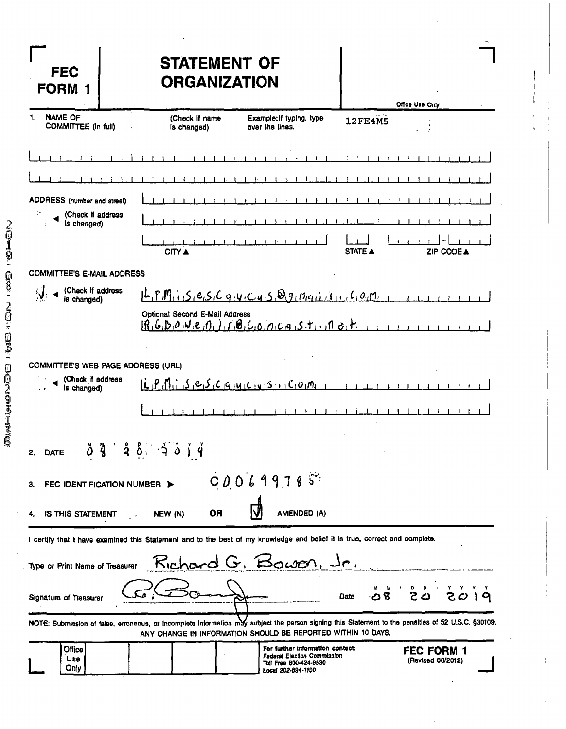| <b>FEC</b><br>FORM 1                         | <b>STATEMENT OF</b><br><b>ORGANIZATION</b>                                                                                                                                                                                                                                                 |                                                                                                                                |                    | Office Use Only                 |
|----------------------------------------------|--------------------------------------------------------------------------------------------------------------------------------------------------------------------------------------------------------------------------------------------------------------------------------------------|--------------------------------------------------------------------------------------------------------------------------------|--------------------|---------------------------------|
| <b>NAME OF</b><br><b>COMMITTEE (in full)</b> | (Check if name<br>is changed)                                                                                                                                                                                                                                                              | Example: if typing, type<br>over the lines.                                                                                    | <b>12FE4M5</b>     |                                 |
|                                              |                                                                                                                                                                                                                                                                                            |                                                                                                                                |                    |                                 |
| <b>ADDRESS</b> (number and street)           |                                                                                                                                                                                                                                                                                            |                                                                                                                                |                    |                                 |
| (Check if address<br>is changed)             |                                                                                                                                                                                                                                                                                            |                                                                                                                                |                    |                                 |
|                                              | <b>CITY A</b>                                                                                                                                                                                                                                                                              |                                                                                                                                | <b>STATE A</b>     | ZIP CODE A                      |
| <b>COMMITTEE'S E-MAIL ADDRESS</b>            |                                                                                                                                                                                                                                                                                            |                                                                                                                                |                    |                                 |
| (Check if address<br>is changed)             |                                                                                                                                                                                                                                                                                            | $L_f \mathbb{F} \mathbb{P}_{i+1}$ SeSIC g.y.C.y.S. $\mathbb{D}_{i}$ 2 $\mathbb{P}_{i+1}$ is $1, \ldots$ (10 $\mathbb{P}_{i+1}$ |                    |                                 |
|                                              | Optional Second E-Mail Address                                                                                                                                                                                                                                                             | $R_1G_1D_1O_1V_2P_1O_1f_1O_1C_1O_1f_1C_1Q_1S_1f_1^2O_1P_2^2f_2^2$                                                              |                    |                                 |
|                                              |                                                                                                                                                                                                                                                                                            |                                                                                                                                |                    |                                 |
| <b>COMMITTEE'S WEB PAGE ADDRESS (URL)</b>    |                                                                                                                                                                                                                                                                                            |                                                                                                                                |                    |                                 |
| (Check if address<br>is changed)             | $\tilde{L}_{1}P_{1}P_{2}P_{3}$ $\tilde{L}_{1}P_{2}P_{3}P_{4}P_{5}P_{1}P_{2}P_{3}P_{1}P_{2}P_{3}P_{1}P_{2}P_{3}P_{1}P_{2}P_{3}P_{1}P_{2}P_{3}P_{1}P_{2}P_{3}P_{3}P_{4}P_{5}P_{6}P_{7}P_{8}P_{8}P_{9}P_{1}P_{1}P_{1}P_{1}P_{2}P_{2}P_{3}P_{4}P_{5}P_{6}P_{7}P_{8}P_{8}P_{9}P_{1}P_{1}P_{1}P$ |                                                                                                                                |                    |                                 |
|                                              |                                                                                                                                                                                                                                                                                            | $\mathbf{1}$                                                                                                                   |                    |                                 |
| Ä.<br>DATE                                   | $\frac{1}{2} \left( \frac{1}{2} \right)^2 + \frac{1}{2} \left( \frac{1}{2} \right)^2 + \frac{1}{2} \left( \frac{1}{2} \right)^2$                                                                                                                                                           |                                                                                                                                |                    |                                 |
| FEC IDENTIFICATION NUMBER<br>З.              |                                                                                                                                                                                                                                                                                            | CDO699785                                                                                                                      |                    |                                 |
| IS THIS STATEMENT<br>4.                      | OR<br>NEW (N)                                                                                                                                                                                                                                                                              | AMENDED (A)                                                                                                                    |                    |                                 |
|                                              | I certify that I have examined this Statement and to the best of my knowledge and belief it is true, correct and complete.                                                                                                                                                                 |                                                                                                                                |                    |                                 |
| Type or Print Name of Treasurer              |                                                                                                                                                                                                                                                                                            | Richard G. Bowen, Jr.                                                                                                          |                    |                                 |
| <b>Signature of Treasurer</b>                |                                                                                                                                                                                                                                                                                            |                                                                                                                                | <b>O 8</b><br>Date | ငံငံ<br>20                      |
|                                              | NOTE: Submission of false, erroneous, or incomplete information may subject the person signing this Statement to the penalties of 52 U.S.C. §30109.                                                                                                                                        | ANY CHANGE IN INFORMATION SHOULD BE REPORTED WITHIN 10 DAYS.                                                                   |                    |                                 |
| Office<br>Use<br>Only                        |                                                                                                                                                                                                                                                                                            | For further information contect:<br>Federal Election Commission<br>Toll Free 800-424-9530<br>Local 202-894-1100                |                    | FEC FORM 1<br>(Revised 06/2012) |

 $\begin{array}{c} \n\cdot & \cdot \\
\cdot & \cdot \\
\cdot & \cdot\n\end{array}$ 

 $\begin{array}{c} 1 \\ 1 \\ 1 \\ 1 \end{array}$ 

 $\cdot$ 

 $\cdot$ 

Î

J.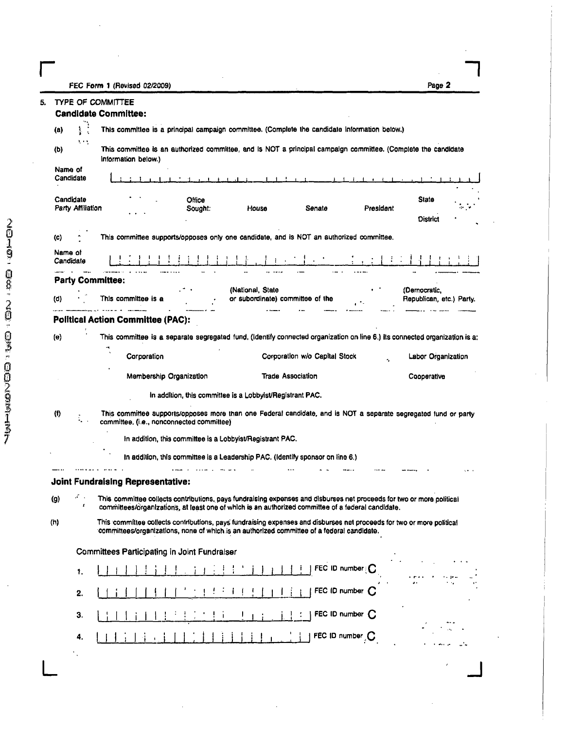| FEC Form 1 (Revised 02/2009) | Page 2 |
|------------------------------|--------|

| (a)                | $\ddot{\cdot}$<br>ł.           | This committee is a principal campaign committee. (Complete the candidate information below.)                                                                                                                               |                                                                                                                                                                                                                                    |                                  |           |                                          |
|--------------------|--------------------------------|-----------------------------------------------------------------------------------------------------------------------------------------------------------------------------------------------------------------------------|------------------------------------------------------------------------------------------------------------------------------------------------------------------------------------------------------------------------------------|----------------------------------|-----------|------------------------------------------|
|                    | 电干扰                            |                                                                                                                                                                                                                             |                                                                                                                                                                                                                                    |                                  |           |                                          |
| (b)                |                                | This committee is an authorized committee, and Is NOT a principal campalgn committee. (Complete the candidate<br>Information below.)                                                                                        |                                                                                                                                                                                                                                    |                                  |           |                                          |
| Name of            | Candidate                      |                                                                                                                                                                                                                             | $\mathcal{L}$ , and a set of the state of the state of the state of the state of the state of the state of the state of the state of the state of the state of the state of the state of the state of the state of the state of th |                                  |           |                                          |
|                    |                                |                                                                                                                                                                                                                             |                                                                                                                                                                                                                                    |                                  |           |                                          |
|                    | Candidate<br>Party Affiliation |                                                                                                                                                                                                                             | Office<br>Sought:<br>House                                                                                                                                                                                                         | Senate                           | President | State<br><b>District</b>                 |
| (c)                |                                | This committee supports/opposes only one candidate, and is NOT an authorized committee.                                                                                                                                     |                                                                                                                                                                                                                                    |                                  |           |                                          |
| Name of            | Candidate                      |                                                                                                                                                                                                                             |                                                                                                                                                                                                                                    |                                  |           |                                          |
|                    |                                | Party Committee:                                                                                                                                                                                                            |                                                                                                                                                                                                                                    |                                  |           |                                          |
| (d)                |                                | This committee is a                                                                                                                                                                                                         | (National, State                                                                                                                                                                                                                   | or subordinate) committee of the |           | (Democratic,<br>Republican, etc.) Party. |
|                    |                                | <b>Political Action Committee (PAC):</b>                                                                                                                                                                                    |                                                                                                                                                                                                                                    |                                  |           |                                          |
|                    |                                | This committee is a separate segregated fund, (Identify connected organization on line 6.) its connected organization is a:                                                                                                 |                                                                                                                                                                                                                                    |                                  |           |                                          |
| (e)                |                                | Corporation                                                                                                                                                                                                                 |                                                                                                                                                                                                                                    | Corporation w/o Capital Stock    |           |                                          |
|                    |                                |                                                                                                                                                                                                                             |                                                                                                                                                                                                                                    |                                  |           | Labor Organization                       |
|                    |                                | Membership Organization                                                                                                                                                                                                     |                                                                                                                                                                                                                                    | <b>Trade Association</b>         |           | Cooperative                              |
|                    |                                |                                                                                                                                                                                                                             | In addition, this committee is a Lobbyist/Registrant PAC.                                                                                                                                                                          |                                  |           |                                          |
| (1)                |                                | This committee supports/opposes more than one Federal candidate, and is NOT a separate segregated fund or party<br>committee. (i.e., nonconnected committee)                                                                |                                                                                                                                                                                                                                    |                                  |           |                                          |
|                    |                                |                                                                                                                                                                                                                             | In addition, this committee is a Lobbyist/Registrant PAC.                                                                                                                                                                          |                                  |           |                                          |
|                    |                                |                                                                                                                                                                                                                             | In addition, this committee is a Leadership PAC. (Identify sponsor on line 6.)                                                                                                                                                     |                                  |           |                                          |
|                    |                                |                                                                                                                                                                                                                             |                                                                                                                                                                                                                                    |                                  |           |                                          |
|                    |                                | <b>Joint Fundraising Representative:</b>                                                                                                                                                                                    |                                                                                                                                                                                                                                    |                                  |           |                                          |
| $\left( 9 \right)$ | 4                              | This committee collects contributions, pays fundraising expenses and disburses net proceeds for two or more political<br>committees/organizations, at least one of which is an authorized committee of a federal candidate. |                                                                                                                                                                                                                                    |                                  |           |                                          |
| (n)                |                                | This committee collects contributions, pays fundraising expenses and disburses net proceeds for two or more political<br>committees/organizations, none of which is an authorized committee of a federal candidate.         |                                                                                                                                                                                                                                    |                                  |           |                                          |
|                    |                                | Committees Participating in Joint Fundraiser                                                                                                                                                                                |                                                                                                                                                                                                                                    |                                  |           |                                          |
|                    | 1.                             |                                                                                                                                                                                                                             |                                                                                                                                                                                                                                    | FEC ID number: (                 |           |                                          |
|                    | 2.                             |                                                                                                                                                                                                                             |                                                                                                                                                                                                                                    | FEC ID number $C$                |           |                                          |
|                    |                                |                                                                                                                                                                                                                             |                                                                                                                                                                                                                                    |                                  |           |                                          |
|                    | 3.                             |                                                                                                                                                                                                                             |                                                                                                                                                                                                                                    | FEC ID number $C$                |           |                                          |
|                    |                                |                                                                                                                                                                                                                             |                                                                                                                                                                                                                                    | FEC ID number C                  |           |                                          |
|                    | 4.                             |                                                                                                                                                                                                                             |                                                                                                                                                                                                                                    |                                  |           |                                          |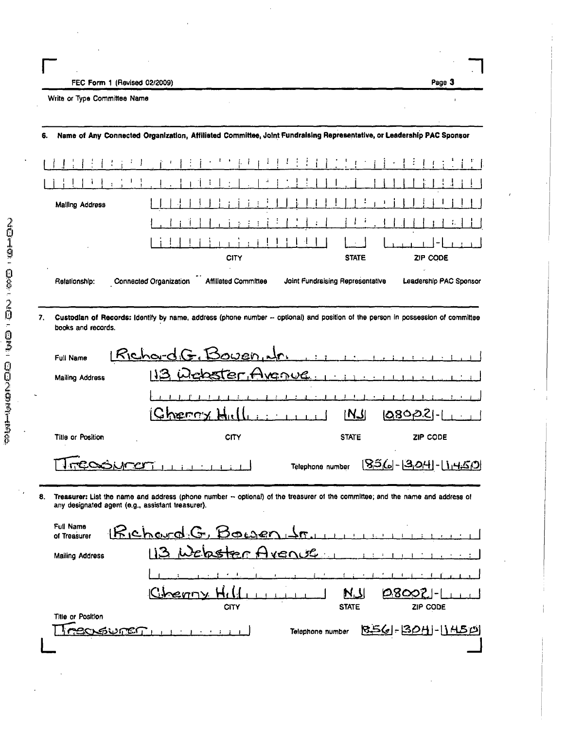| FEC Form 1 (Revised 02/2009) |  |  |
|------------------------------|--|--|
|------------------------------|--|--|

| ٠ |  |
|---|--|
|   |  |

 $\ddot{\phantom{0}}$ 

 $\mathbf{I}$ 

Write or Type Committee Name

 $\sqrt{\phantom{.}}$ 

NO-101 D& LNO I DRI DONOMI-160

|                                                   | Name of Any Connected Organization, Affiliated Committee, Joint Fundraising Representative, or Leadership PAC Sponsor            |
|---------------------------------------------------|----------------------------------------------------------------------------------------------------------------------------------|
|                                                   |                                                                                                                                  |
|                                                   |                                                                                                                                  |
| Malling Address                                   |                                                                                                                                  |
|                                                   |                                                                                                                                  |
|                                                   |                                                                                                                                  |
|                                                   | CITY<br><b>STATE</b><br>ZIP CODE                                                                                                 |
| Relationship:                                     | Connected Organization<br><b>Affiliated Committee</b><br>Joint Fundraising Representative<br>Leadership PAC Sponsor              |
| books and records.                                | Custodlan of Records: Identify by name, address (phone number -- optional) and position of the person in possession of committee |
|                                                   |                                                                                                                                  |
| <b>Full Name</b>                                  |                                                                                                                                  |
| <b>Mailing Address</b>                            | ster Avenue.                                                                                                                     |
|                                                   |                                                                                                                                  |
|                                                   | - 1<br>-1                                                                                                                        |
|                                                   | 1080021<br> NJ <br>e Wern.                                                                                                       |
| Title or Position                                 | CITY<br><b>STATE</b><br>ZIP CODE                                                                                                 |
|                                                   | <u> 1856 - 1304 - 11450</u><br>Telephone number                                                                                  |
| any designated agent (e.g., assistant treasurer). | Treasurer: List the name and address (phone number -- optional) of the treasurer of the committee; and the name and address of   |
| Full Name<br>of Treasurer                         | <u>Richard</u> G<br>BOWER AT.<br>$\rightarrow$<br>$\mathbf{r}$<br>1.1<br>ユービューエス                                                 |
| <b>Mailing Address</b>                            | 13 Webster Avenue                                                                                                                |
|                                                   | $\mathbf{r}$<br>-1<br>-1<br>1.                                                                                                   |
|                                                   | NJ<br><u>08002 </u><br>$H_0$<br>herry                                                                                            |
| Title or Position                                 | <b>STATE</b><br>CITY<br>ZIP CODE                                                                                                 |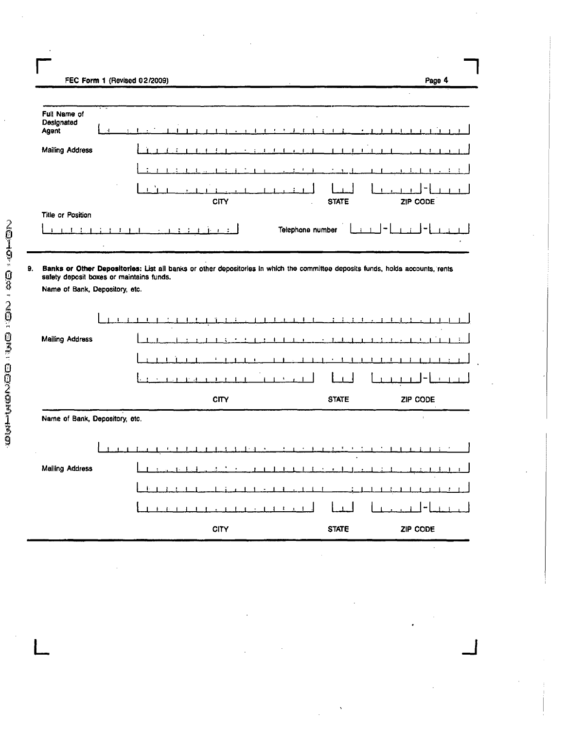|                                     | FEC Form 1 (Revised 02/2009)                                                                                                                                               |                                          | Page 4   |
|-------------------------------------|----------------------------------------------------------------------------------------------------------------------------------------------------------------------------|------------------------------------------|----------|
|                                     |                                                                                                                                                                            |                                          |          |
| Full Name of<br>Designated<br>Agent |                                                                                                                                                                            |                                          |          |
| <b>Mailing Address</b>              |                                                                                                                                                                            |                                          |          |
|                                     | -                                                                                                                                                                          |                                          |          |
|                                     | CITY                                                                                                                                                                       | <b>STATE</b>                             | ZIP CODE |
| Title or Position                   |                                                                                                                                                                            |                                          |          |
| $\mathbf{I}$                        | ÷                                                                                                                                                                          | Telephone number                         |          |
| Name of Bank, Depository, etc.      | Banks or Other Depositories: List all banks or other depositories in which the committee deposits funds, holds accounts, rents<br>safety deposit boxes or maintains funds. |                                          |          |
| <b>Mailing Address</b>              |                                                                                                                                                                            |                                          |          |
|                                     |                                                                                                                                                                            | -1                                       |          |
|                                     | $\pmb{\iota}$                                                                                                                                                              |                                          |          |
|                                     | CITY                                                                                                                                                                       | <b>STATE</b>                             | ZIP CODE |
| Name of Bank, Depository, etc.      |                                                                                                                                                                            |                                          |          |
|                                     |                                                                                                                                                                            |                                          |          |
| <b>Mailing Address</b>              | $\mathbf{F}$<br>a sa T                                                                                                                                                     | $\blacksquare$<br>$\sim$<br>$\mathbf{r}$ |          |
|                                     |                                                                                                                                                                            |                                          |          |
|                                     | $\mathbf{r}$<br>$\mathbf{I}$                                                                                                                                               |                                          |          |
|                                     | <b>CITY</b>                                                                                                                                                                | <b>STATE</b>                             | ZIP CODE |

9.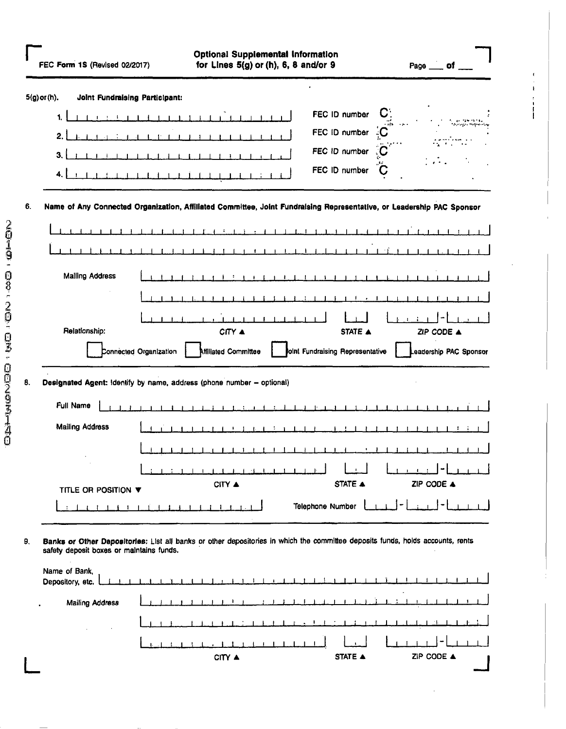| <b>Optional Supplemental Information</b><br>for Lines 5(g) or (h), 6, 8 and/or 9                                      | $Page$ of $\equiv$                  |
|-----------------------------------------------------------------------------------------------------------------------|-------------------------------------|
| <b>Joint Fundraising Participant:</b>                                                                                 |                                     |
| FEC ID number                                                                                                         |                                     |
| FEC ID number                                                                                                         |                                     |
| FEC ID number                                                                                                         |                                     |
| FEC ID number<br>$-1$ $-1$ $-1$ $-1$                                                                                  |                                     |
| Name of Any Connected Organization, Affiliated Committee, Joint Fundraising Representative, or Leadership PAC Sponsor |                                     |
| 1 1 1 1 1 1 1 1 1<br>$\ddot{\phantom{a}}$                                                                             | .                                   |
|                                                                                                                       |                                     |
| - 1<br>$\mathbf{r}$<br>- 60<br>-1                                                                                     | $\mathbf{r}$ and $\mathbf{r}$       |
|                                                                                                                       |                                     |
|                                                                                                                       |                                     |
| oint Fundraising Representative<br>Connected Organization<br><b>Affiliated Committee</b>                              | ZIP CODE A<br>eadership PAC Sponsor |
| Designated Agent: Identify by name, address (phone number - optional)                                                 |                                     |
|                                                                                                                       |                                     |
|                                                                                                                       |                                     |
| - 1<br>$\mathbf{1}$ $\mathbf{1}$ $\mathbf{1}$ $\mathbf{1}$<br>- 1                                                     |                                     |
|                                                                                                                       |                                     |
| STATE A<br>CITY ▲                                                                                                     | ZIP CODE A                          |
| Telephone Number<br>$1 - 1 - 1$                                                                                       |                                     |
|                                                                                                                       | CITY ▲<br>STATE A                   |

 $\begin{array}{c} 0.1 \\ 0.1 \\ 0.1 \\ 0.1 \\ 0.1 \\ 0.1 \\ 0.1 \\ \end{array}$ 

|                                     |  |  |                                                                                                                        |  | CITY ▲ |  |  |  |  |  | STATE A |  |  |  |  | ZIP CODE A |                                                                                                                                                                                                                                      |  |
|-------------------------------------|--|--|------------------------------------------------------------------------------------------------------------------------|--|--------|--|--|--|--|--|---------|--|--|--|--|------------|--------------------------------------------------------------------------------------------------------------------------------------------------------------------------------------------------------------------------------------|--|
|                                     |  |  |                                                                                                                        |  |        |  |  |  |  |  |         |  |  |  |  |            | <u> 1991 - 1991 Le Branch, professor de la contrada de la contrada de la contrada de la contrada de la contrada de la contrada de la contrada de la contrada de la contrada de la contrada de la contrada de la contrada de la c</u> |  |
|                                     |  |  | <u> La componente de la componente de la componente de la componente de la componente de la componente de la compo</u> |  |        |  |  |  |  |  |         |  |  |  |  |            |                                                                                                                                                                                                                                      |  |
| <b>Mailing Address</b>              |  |  |                                                                                                                        |  |        |  |  |  |  |  |         |  |  |  |  |            |                                                                                                                                                                                                                                      |  |
| Name of Bank,<br>Depository, etc. [ |  |  |                                                                                                                        |  |        |  |  |  |  |  |         |  |  |  |  |            |                                                                                                                                                                                                                                      |  |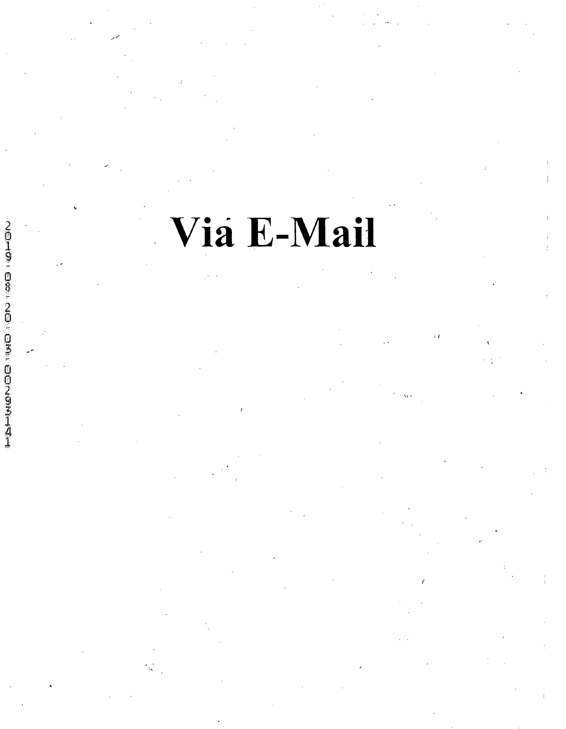## Via E-Mail

 $\ddot{a}$ 

**2010** 20103100293141